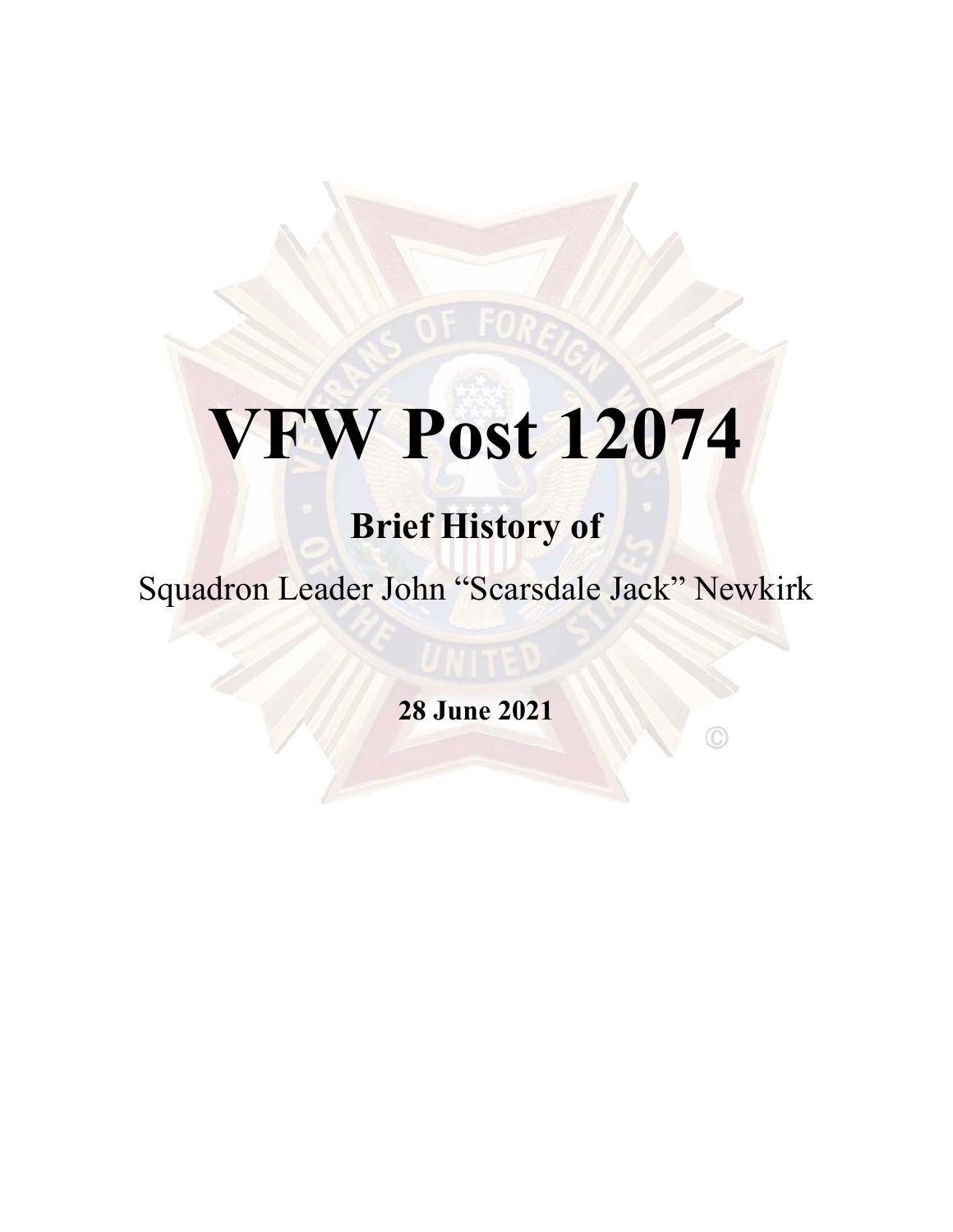# **VFW Post 12074**

## **Brief History of**

Squadron Leader John "Scarsdale Jack" Newkirk

**28 June 2021**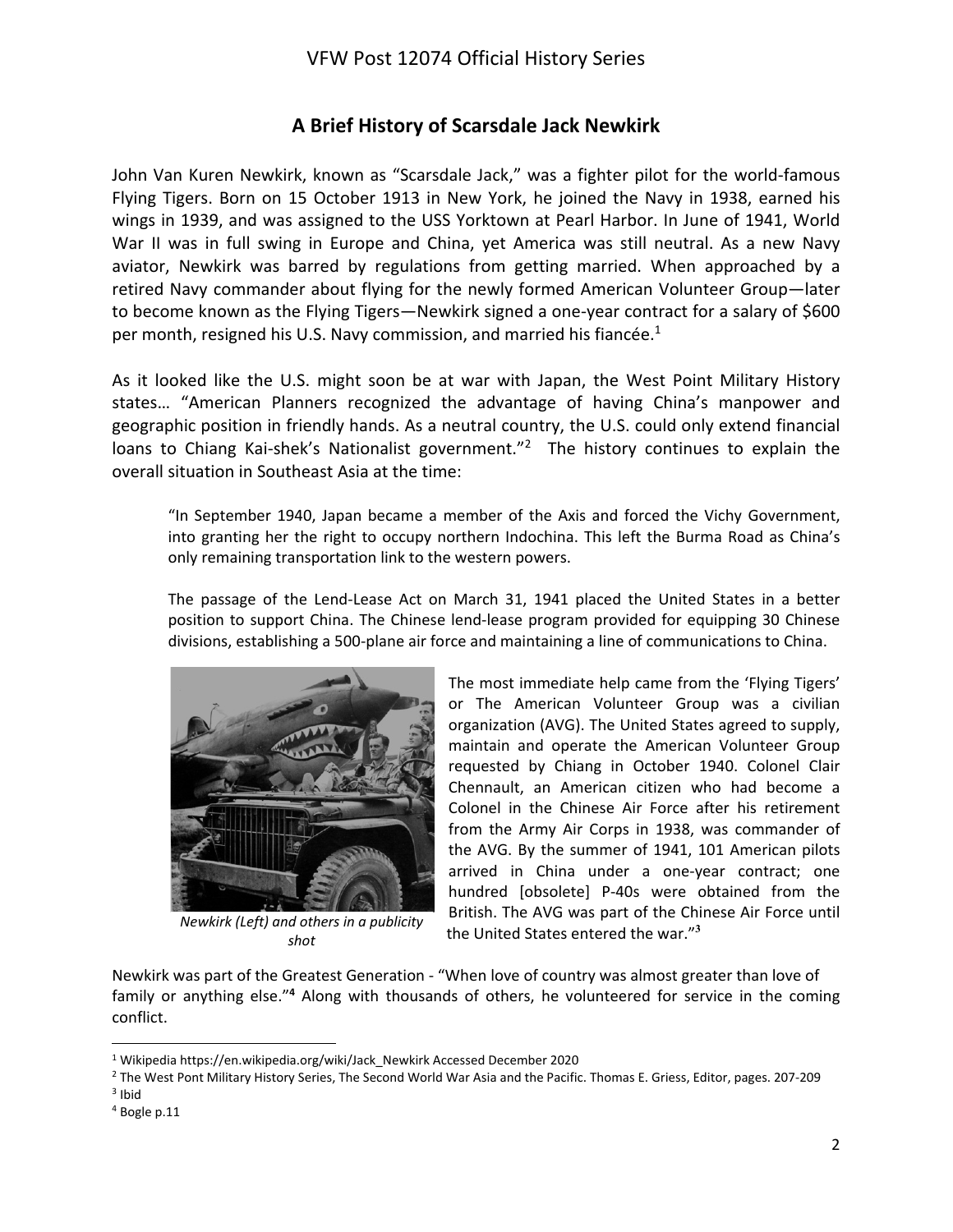#### **A Brief History of Scarsdale Jack Newkirk**

John Van Kuren Newkirk, known as "Scarsdale Jack," was a fighter pilot for the world‐famous Flying Tigers. Born on 15 October 1913 in New York, he joined the Navy in 1938, earned his wings in 1939, and was assigned to the USS Yorktown at Pearl Harbor. In June of 1941, World War II was in full swing in Europe and China, yet America was still neutral. As a new Navy aviator, Newkirk was barred by regulations from getting married. When approached by a retired Navy commander about flying for the newly formed American Volunteer Group—later to become known as the Flying Tigers—Newkirk signed a one-year contract for a salary of \$600 per month, resigned his U.S. Navy commission, and married his fiancée.<sup>1</sup>

As it looked like the U.S. might soon be at war with Japan, the West Point Military History states… "American Planners recognized the advantage of having China's manpower and geographic position in friendly hands. As a neutral country, the U.S. could only extend financial loans to Chiang Kai-shek's Nationalist government.<sup>"2</sup> The history continues to explain the overall situation in Southeast Asia at the time:

"In September 1940, Japan became a member of the Axis and forced the Vichy Government, into granting her the right to occupy northern Indochina. This left the Burma Road as China's only remaining transportation link to the western powers.

The passage of the Lend-Lease Act on March 31, 1941 placed the United States in a better position to support China. The Chinese lend‐lease program provided for equipping 30 Chinese divisions, establishing a 500‐plane air force and maintaining a line of communications to China.



*Newkirk (Left) and others in a publicity shot*

The most immediate help came from the 'Flying Tigers' or The American Volunteer Group was a civilian organization (AVG). The United States agreed to supply, maintain and operate the American Volunteer Group requested by Chiang in October 1940. Colonel Clair Chennault, an American citizen who had become a Colonel in the Chinese Air Force after his retirement from the Army Air Corps in 1938, was commander of the AVG. By the summer of 1941, 101 American pilots arrived in China under a one‐year contract; one hundred [obsolete] P-40s were obtained from the British. The AVG was part of the Chinese Air Force until the United States entered the war."**<sup>3</sup>**

Newkirk was part of the Greatest Generation ‐ "When love of country was almost greater than love of family or anything else."<sup>4</sup> Along with thousands of others, he volunteered for service in the coming conflict.

<sup>1</sup> Wikipedia https://en.wikipedia.org/wiki/Jack\_Newkirk Accessed December 2020

<sup>2</sup> The West Pont Military History Series, The Second World War Asia and the Pacific. Thomas E. Griess, Editor, pages. 207‐209 3 Ibid

<sup>4</sup> Bogle p.11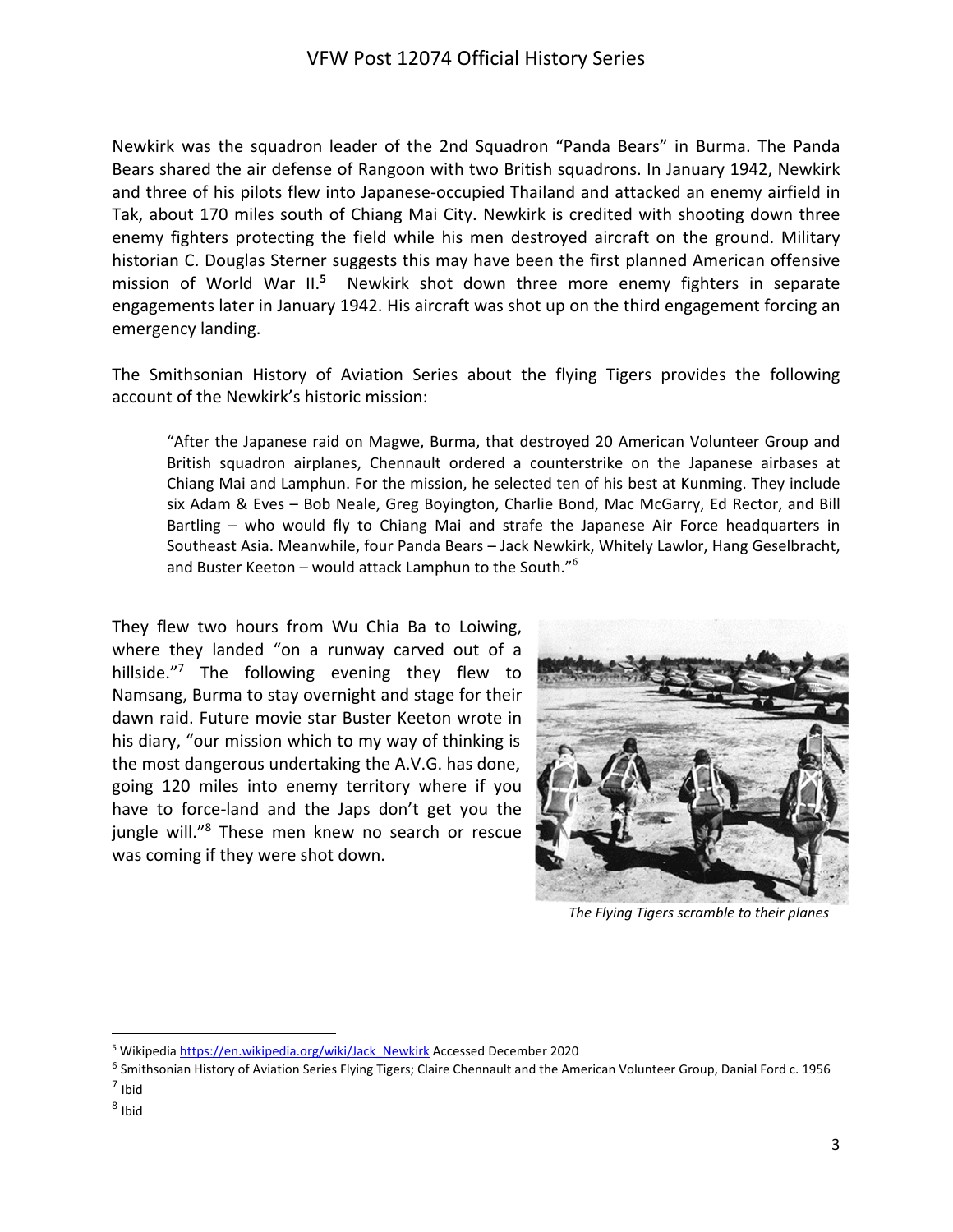Newkirk was the squadron leader of the 2nd Squadron "Panda Bears" in Burma. The Panda Bears shared the air defense of Rangoon with two British squadrons. In January 1942, Newkirk and three of his pilots flew into Japanese‐occupied Thailand and attacked an enemy airfield in Tak, about 170 miles south of Chiang Mai City. Newkirk is credited with shooting down three enemy fighters protecting the field while his men destroyed aircraft on the ground. Military historian C. Douglas Sterner suggests this may have been the first planned American offensive mission of World War II.**<sup>5</sup>** Newkirk shot down three more enemy fighters in separate engagements later in January 1942. His aircraft was shot up on the third engagement forcing an emergency landing.

The Smithsonian History of Aviation Series about the flying Tigers provides the following account of the Newkirk's historic mission:

"After the Japanese raid on Magwe, Burma, that destroyed 20 American Volunteer Group and British squadron airplanes, Chennault ordered a counterstrike on the Japanese airbases at Chiang Mai and Lamphun. For the mission, he selected ten of his best at Kunming. They include six Adam & Eves – Bob Neale, Greg Boyington, Charlie Bond, Mac McGarry, Ed Rector, and Bill Bartling - who would fly to Chiang Mai and strafe the Japanese Air Force headquarters in Southeast Asia. Meanwhile, four Panda Bears – Jack Newkirk, Whitely Lawlor, Hang Geselbracht, and Buster Keeton – would attack Lamphun to the South."<sup>6</sup>

They flew two hours from Wu Chia Ba to Loiwing, where they landed "on a runway carved out of a hillside."<sup>7</sup> The following evening they flew to Namsang, Burma to stay overnight and stage for their dawn raid. Future movie star Buster Keeton wrote in his diary, "our mission which to my way of thinking is the most dangerous undertaking the A.V.G. has done, going 120 miles into enemy territory where if you have to force-land and the Japs don't get you the jungle will."<sup>8</sup> These men knew no search or rescue was coming if they were shot down.



*The Flying Tigers scramble to their planes*

 $8$  Ibid

<sup>&</sup>lt;sup>5</sup> Wikipedia https://en.wikipedia.org/wiki/Jack\_Newkirk Accessed December 2020

<sup>6</sup> Smithsonian History of Aviation Series Flying Tigers; Claire Chennault and the American Volunteer Group, Danial Ford c. 1956

 $<sup>7</sup>$  Ibid</sup>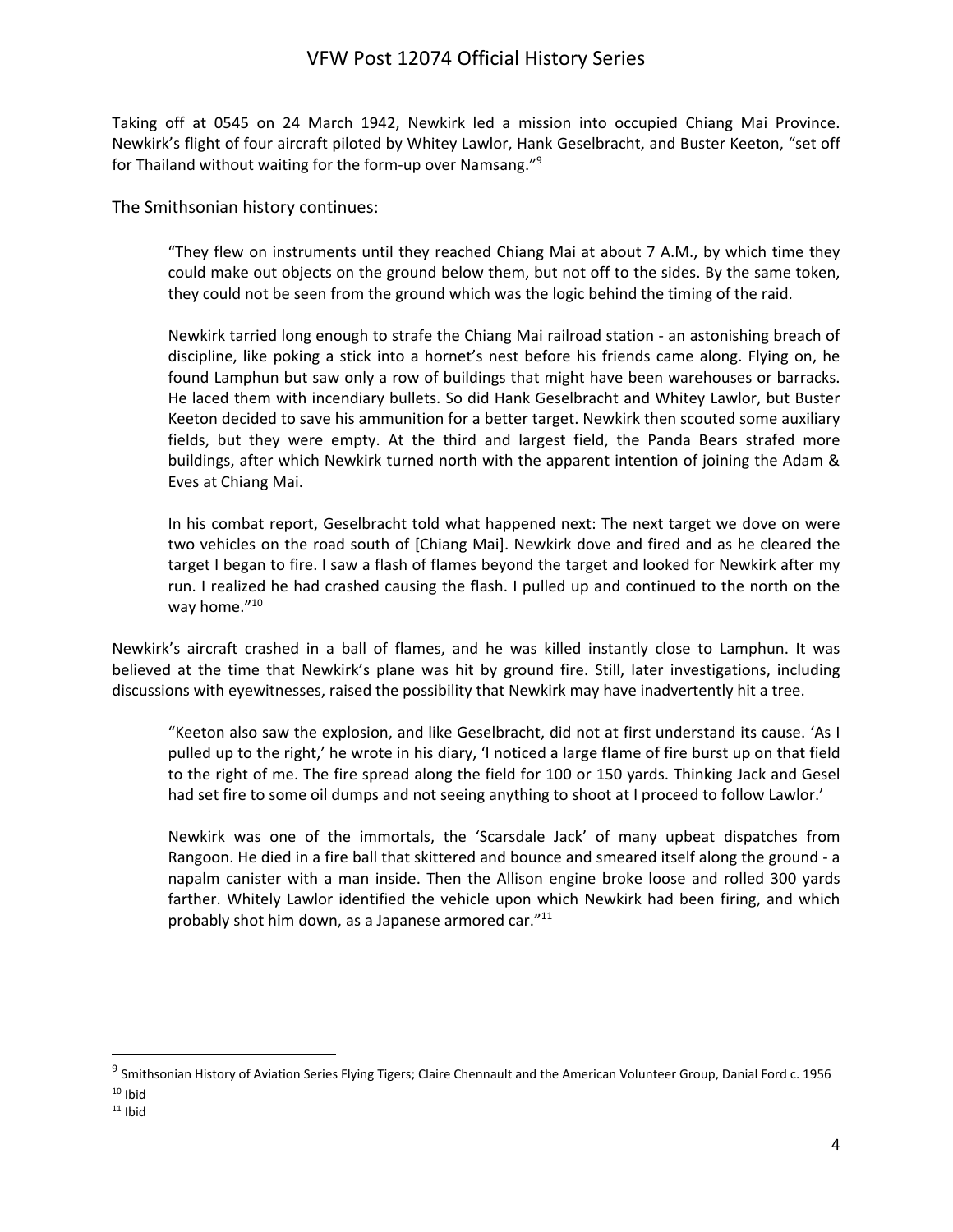Taking off at 0545 on 24 March 1942, Newkirk led a mission into occupied Chiang Mai Province. Newkirk's flight of four aircraft piloted by Whitey Lawlor, Hank Geselbracht, and Buster Keeton, "set off for Thailand without waiting for the form-up over Namsang."<sup>9</sup>

The Smithsonian history continues:

"They flew on instruments until they reached Chiang Mai at about 7 A.M., by which time they could make out objects on the ground below them, but not off to the sides. By the same token, they could not be seen from the ground which was the logic behind the timing of the raid.

Newkirk tarried long enough to strafe the Chiang Mai railroad station ‐ an astonishing breach of discipline, like poking a stick into a hornet's nest before his friends came along. Flying on, he found Lamphun but saw only a row of buildings that might have been warehouses or barracks. He laced them with incendiary bullets. So did Hank Geselbracht and Whitey Lawlor, but Buster Keeton decided to save his ammunition for a better target. Newkirk then scouted some auxiliary fields, but they were empty. At the third and largest field, the Panda Bears strafed more buildings, after which Newkirk turned north with the apparent intention of joining the Adam & Eves at Chiang Mai.

In his combat report, Geselbracht told what happened next: The next target we dove on were two vehicles on the road south of [Chiang Mai]. Newkirk dove and fired and as he cleared the target I began to fire. I saw a flash of flames beyond the target and looked for Newkirk after my run. I realized he had crashed causing the flash. I pulled up and continued to the north on the way home."<sup>10</sup>

Newkirk's aircraft crashed in a ball of flames, and he was killed instantly close to Lamphun. It was believed at the time that Newkirk's plane was hit by ground fire. Still, later investigations, including discussions with eyewitnesses, raised the possibility that Newkirk may have inadvertently hit a tree.

"Keeton also saw the explosion, and like Geselbracht, did not at first understand its cause. 'As I pulled up to the right,' he wrote in his diary, 'I noticed a large flame of fire burst up on that field to the right of me. The fire spread along the field for 100 or 150 yards. Thinking Jack and Gesel had set fire to some oil dumps and not seeing anything to shoot at I proceed to follow Lawlor.'

Newkirk was one of the immortals, the 'Scarsdale Jack' of many upbeat dispatches from Rangoon. He died in a fire ball that skittered and bounce and smeared itself along the ground ‐ a napalm canister with a man inside. Then the Allison engine broke loose and rolled 300 yards farther. Whitely Lawlor identified the vehicle upon which Newkirk had been firing, and which probably shot him down, as a Japanese armored car."<sup>11</sup>

<sup>&</sup>lt;sup>9</sup> Smithsonian History of Aviation Series Flying Tigers; Claire Chennault and the American Volunteer Group, Danial Ford c. 1956

 $10$  Ibid

 $11$  Ibid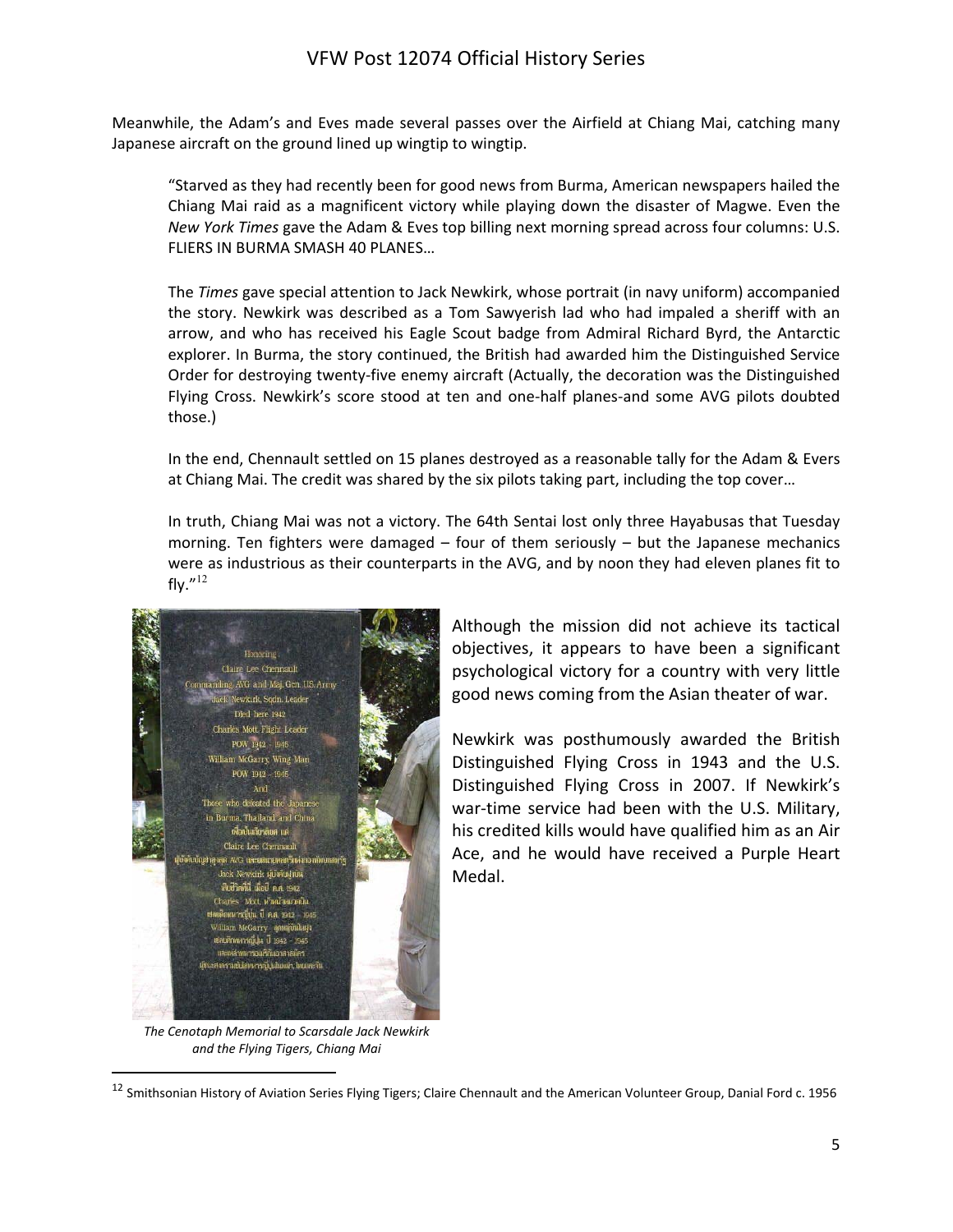Meanwhile, the Adam's and Eves made several passes over the Airfield at Chiang Mai, catching many Japanese aircraft on the ground lined up wingtip to wingtip.

"Starved as they had recently been for good news from Burma, American newspapers hailed the Chiang Mai raid as a magnificent victory while playing down the disaster of Magwe. Even the *New York Times* gave the Adam & Eves top billing next morning spread across four columns: U.S. FLIERS IN BURMA SMASH 40 PLANES…

The *Times* gave special attention to Jack Newkirk, whose portrait (in navy uniform) accompanied the story. Newkirk was described as a Tom Sawyerish lad who had impaled a sheriff with an arrow, and who has received his Eagle Scout badge from Admiral Richard Byrd, the Antarctic explorer. In Burma, the story continued, the British had awarded him the Distinguished Service Order for destroying twenty‐five enemy aircraft (Actually, the decoration was the Distinguished Flying Cross. Newkirk's score stood at ten and one-half planes-and some AVG pilots doubted those.)

In the end, Chennault settled on 15 planes destroyed as a reasonable tally for the Adam & Evers at Chiang Mai. The credit was shared by the six pilots taking part, including the top cover…

In truth, Chiang Mai was not a victory. The 64th Sentai lost only three Hayabusas that Tuesday morning. Ten fighters were damaged  $-$  four of them seriously  $-$  but the Japanese mechanics were as industrious as their counterparts in the AVG, and by noon they had eleven planes fit to fly. $^{\prime\prime}$ <sup>12</sup>



Although the mission did not achieve its tactical objectives, it appears to have been a significant psychological victory for a country with very little good news coming from the Asian theater of war.

Newkirk was posthumously awarded the British Distinguished Flying Cross in 1943 and the U.S. Distinguished Flying Cross in 2007. If Newkirk's war-time service had been with the U.S. Military, his credited kills would have qualified him as an Air Ace, and he would have received a Purple Heart Medal.

*The Cenotaph Memorial to Scarsdale Jack Newkirk and the Flying Tigers, Chiang Mai*

<sup>&</sup>lt;sup>12</sup> Smithsonian History of Aviation Series Flying Tigers; Claire Chennault and the American Volunteer Group, Danial Ford c. 1956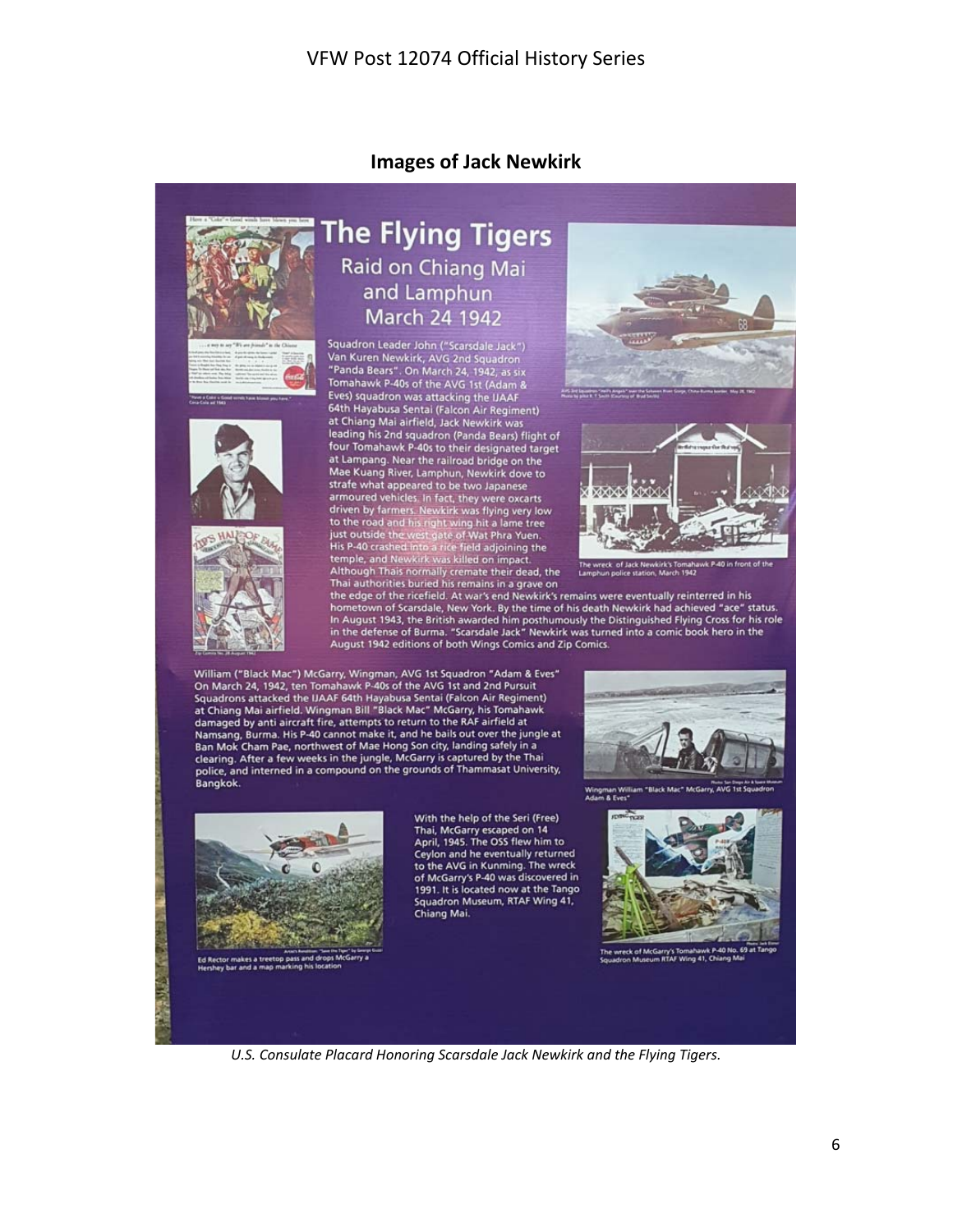#### **Images of Jack Newkirk**



### **The Flying Tigers** Raid on Chiang Mai and Lamphun March 24 1942

Squadron Leader John ("Scarsdale Jack")<br>Van Kuren Newkirk, AVG 2nd Squadron<br>"Panda Bears". On March 24, 1942, as six<br>Tomahawk P-40s of the AVG 1st (Adam & Eves) squadron was attacking the IJAAF 64th Hayabusa Sentai (Falcon Air Regiment) at Chiang Mai airfield, Jack Newkirk was leading his 2nd squadron (Panda Bears) flight of<br>four Tomahawk P-40s to their designated target at Lampang. Near the railroad bridge on the<br>Mae Kuang River, Lamphun, Newkirk dove to Mae Kuang River, Lamphun, Newkirk dove to<br>strafe what appeared to be two Japanese<br>armoured vehicles, in fact, they were oxcarts<br>armoured vehicles, in fact, they were oxcarts<br>to the road and his right with was flying very l





hometown of Scarsdale, New York. By the time of his death Newkirk had achieved "ace" status. In August 1943, the British awarded him posthumously the Distinguished Flying Cross for his role in the defense of Burma. "Scarsdale Jack" Newkirk was turned into a comic book hero in the August 1942 editions of both Wings Comics and Zip Comics.

William ("Black Mac") McGarry, Wingman, AVG 1st Squadron "Adam & Eves"<br>On March 24, 1942, ten Tomahawk P-40s of the AVG 1st and 2nd Pursuit Squadrons attacked the IJAAF 64th Hayabusa Sentai (Falcon Air Regiment)<br>at Chiang Mai airfield. Wingman Bill "Black Mac" McGarry, his Tomahawk damaged by anti aircraft fire, attempts to return to the RAF airfield at Namsang, Burma. His P-40 cannot make it, and he bails out over the jungle at Ban Mok Cham Pae, northwest of Mae Hong Son city, landing safely in a<br>clearing. After a few weeks in the jungle, McGarry is captured by the Thai police, and interned in a compound on the grounds of Thammasat University, Bangkok.



G 1st St Wingman Willia<br>Adam & Eves\*



With the help of the Seri (Free) Thai, McGarry escaped on 14<br>April, 1945. The OSS flew him to Ceylon and he eventually returned<br>to the AVG in Kunming. The wreck of McGarry's P-40 was discovered in 1991. It is located now at the Tango<br>Squadron Museum, RTAF Wing 41, Chiang Mai.



irry's Tomanawk P-40 r<br>IFTAF Winn 41. Chiang

*U.S. Consulate Placard Honoring Scarsdale Jack Newkirk and the Flying Tigers.*